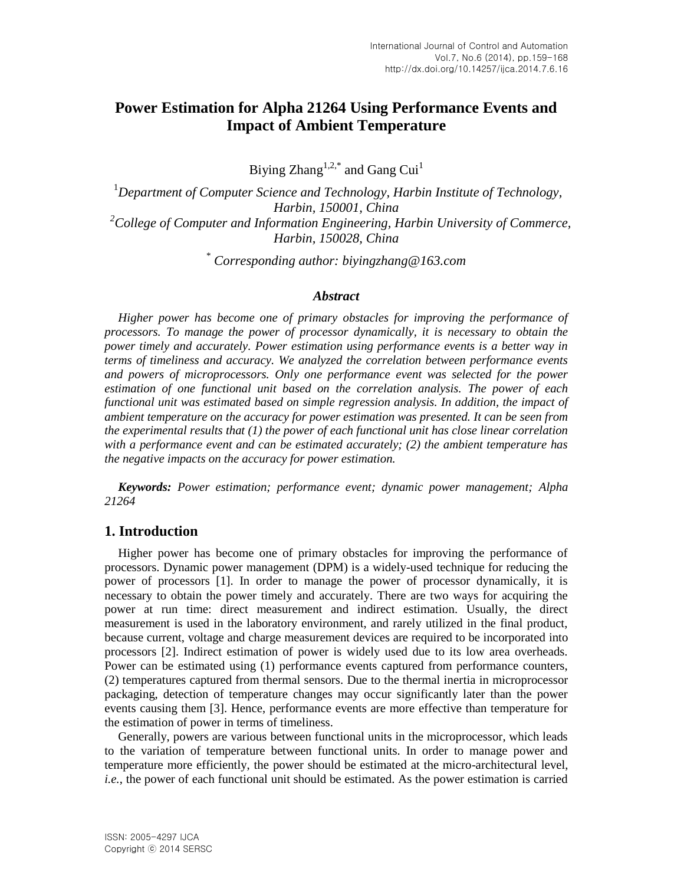# **Power Estimation for Alpha 21264 Using Performance Events and Impact of Ambient Temperature**

Biying  $Zhang^{1,2,*}$  and Gang Cui<sup>1</sup>

<sup>1</sup>*Department of Computer Science and Technology, Harbin Institute of Technology, Harbin, 150001, China <sup>2</sup>College of Computer and Information Engineering, Harbin University of Commerce, Harbin, 150028, China*

\* *Corresponding author: biyingzhang@163.com*

#### *Abstract*

*Higher power has become one of primary obstacles for improving the performance of processors. To manage the power of processor dynamically, it is necessary to obtain the power timely and accurately. Power estimation using performance events is a better way in terms of timeliness and accuracy. We analyzed the correlation between performance events and powers of microprocessors. Only one performance event was selected for the power estimation of one functional unit based on the correlation analysis. The power of each functional unit was estimated based on simple regression analysis. In addition, the impact of ambient temperature on the accuracy for power estimation was presented. It can be seen from the experimental results that (1) the power of each functional unit has close linear correlation with a performance event and can be estimated accurately; (2) the ambient temperature has the negative impacts on the accuracy for power estimation.*

*Keywords: Power estimation; performance event; dynamic power management; Alpha 21264*

### **1. Introduction**

Higher power has become one of primary obstacles for improving the performance of processors. Dynamic power management (DPM) is a widely-used technique for reducing the power of processors [1]. In order to manage the power of processor dynamically, it is necessary to obtain the power timely and accurately. There are two ways for acquiring the power at run time: direct measurement and indirect estimation. Usually, the direct measurement is used in the laboratory environment, and rarely utilized in the final product, because current, voltage and charge measurement devices are required to be incorporated into processors [2]. Indirect estimation of power is widely used due to its low area overheads. Power can be estimated using (1) performance events captured from performance counters, (2) temperatures captured from thermal sensors. Due to the thermal inertia in microprocessor packaging, detection of temperature changes may occur significantly later than the power events causing them [3]. Hence, performance events are more effective than temperature for the estimation of power in terms of timeliness.

Generally, powers are various between functional units in the microprocessor, which leads to the variation of temperature between functional units. In order to manage power and temperature more efficiently, the power should be estimated at the micro-architectural level, *i.e.*, the power of each functional unit should be estimated. As the power estimation is carried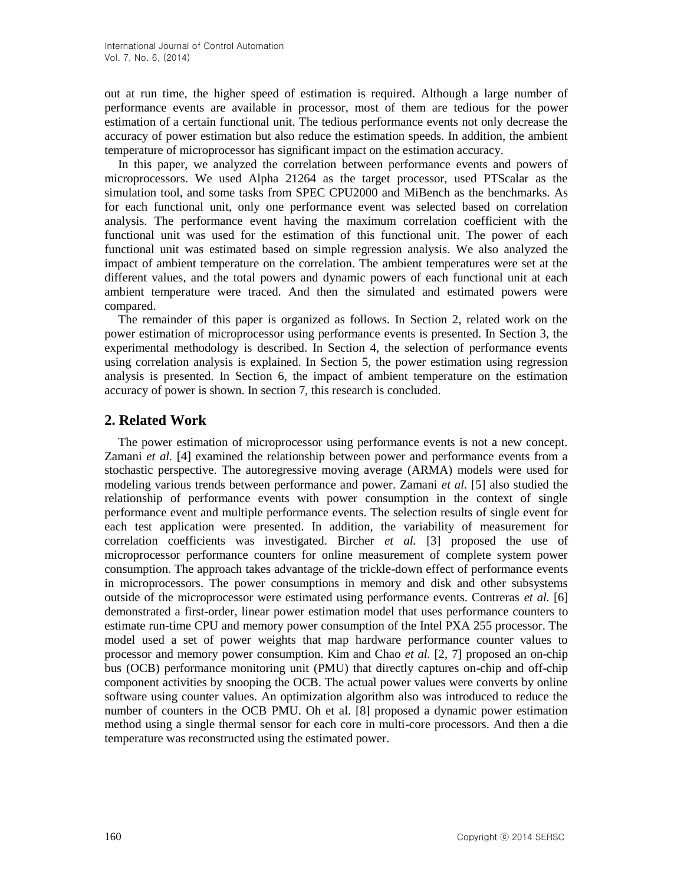out at run time, the higher speed of estimation is required. Although a large number of performance events are available in processor, most of them are tedious for the power estimation of a certain functional unit. The tedious performance events not only decrease the accuracy of power estimation but also reduce the estimation speeds. In addition, the ambient temperature of microprocessor has significant impact on the estimation accuracy.

In this paper, we analyzed the correlation between performance events and powers of microprocessors. We used Alpha 21264 as the target processor, used PTScalar as the simulation tool, and some tasks from SPEC CPU2000 and MiBench as the benchmarks. As for each functional unit, only one performance event was selected based on correlation analysis. The performance event having the maximum correlation coefficient with the functional unit was used for the estimation of this functional unit. The power of each functional unit was estimated based on simple regression analysis. We also analyzed the impact of ambient temperature on the correlation. The ambient temperatures were set at the different values, and the total powers and dynamic powers of each functional unit at each ambient temperature were traced. And then the simulated and estimated powers were compared.

The remainder of this paper is organized as follows. In Section 2, related work on the power estimation of microprocessor using performance events is presented. In Section 3, the experimental methodology is described. In Section 4, the selection of performance events using correlation analysis is explained. In Section 5, the power estimation using regression analysis is presented. In Section 6, the impact of ambient temperature on the estimation accuracy of power is shown. In section 7, this research is concluded.

# **2. Related Work**

The power estimation of microprocessor using performance events is not a new concept. Zamani *et al.* [4] examined the relationship between power and performance events from a stochastic perspective. The autoregressive moving average (ARMA) models were used for modeling various trends between performance and power. Zamani *et al.* [5] also studied the relationship of performance events with power consumption in the context of single performance event and multiple performance events. The selection results of single event for each test application were presented. In addition, the variability of measurement for correlation coefficients was investigated. Bircher *et al.* [3] proposed the use of microprocessor performance counters for online measurement of complete system power consumption. The approach takes advantage of the trickle-down effect of performance events in microprocessors. The power consumptions in memory and disk and other subsystems outside of the microprocessor were estimated using performance events. Contreras *et al.* [6] demonstrated a first-order, linear power estimation model that uses performance counters to estimate run-time CPU and memory power consumption of the Intel PXA 255 processor. The model used a set of power weights that map hardware performance counter values to processor and memory power consumption. Kim and Chao *et al.* [2, 7] proposed an on-chip bus (OCB) performance monitoring unit (PMU) that directly captures on-chip and off-chip component activities by snooping the OCB. The actual power values were converts by online software using counter values. An optimization algorithm also was introduced to reduce the number of counters in the OCB PMU. Oh et al. [8] proposed a dynamic power estimation method using a single thermal sensor for each core in multi-core processors. And then a die temperature was reconstructed using the estimated power.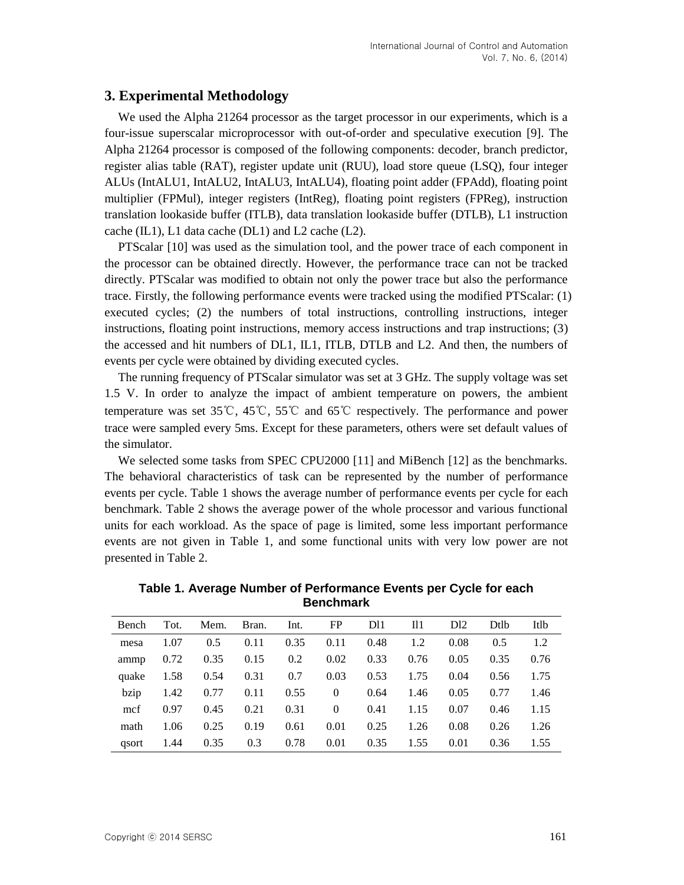### **3. Experimental Methodology**

We used the Alpha 21264 processor as the target processor in our experiments, which is a four-issue superscalar microprocessor with out-of-order and speculative execution [9]. The Alpha 21264 processor is composed of the following components: decoder, branch predictor, register alias table (RAT), register update unit (RUU), load store queue (LSQ), four integer ALUs (IntALU1, IntALU2, IntALU3, IntALU4), floating point adder (FPAdd), floating point multiplier (FPMul), integer registers (IntReg), floating point registers (FPReg), instruction translation lookaside buffer (ITLB), data translation lookaside buffer (DTLB), L1 instruction cache (IL1), L1 data cache (DL1) and L2 cache (L2).

PTScalar [10] was used as the simulation tool, and the power trace of each component in the processor can be obtained directly. However, the performance trace can not be tracked directly. PTScalar was modified to obtain not only the power trace but also the performance trace. Firstly, the following performance events were tracked using the modified PTScalar: (1) executed cycles; (2) the numbers of total instructions, controlling instructions, integer instructions, floating point instructions, memory access instructions and trap instructions; (3) the accessed and hit numbers of DL1, IL1, ITLB, DTLB and L2. And then, the numbers of events per cycle were obtained by dividing executed cycles.

The running frequency of PTScalar simulator was set at 3 GHz. The supply voltage was set 1.5 V. In order to analyze the impact of ambient temperature on powers, the ambient temperature was set 35℃, 45℃, 55℃ and 65℃ respectively. The performance and power trace were sampled every 5ms. Except for these parameters, others were set default values of the simulator.

We selected some tasks from SPEC CPU2000 [11] and MiBench [12] as the benchmarks. The behavioral characteristics of task can be represented by the number of performance events per cycle. Table 1 shows the average number of performance events per cycle for each benchmark. Table 2 shows the average power of the whole processor and various functional units for each workload. As the space of page is limited, some less important performance events are not given in Table 1, and some functional units with very low power are not presented in Table 2.

| Bench | Tot. | Mem. | Bran. | Int. | FP             | D <sub>11</sub> | I11  | D <sub>12</sub> | Dtlb | Itlb |
|-------|------|------|-------|------|----------------|-----------------|------|-----------------|------|------|
| mesa  | 1.07 | 0.5  | 0.11  | 0.35 | 0.11           | 0.48            | 1.2  | 0.08            | 0.5  | 1.2  |
| ammp  | 0.72 | 0.35 | 0.15  | 0.2  | 0.02           | 0.33            | 0.76 | 0.05            | 0.35 | 0.76 |
| quake | 1.58 | 0.54 | 0.31  | 0.7  | 0.03           | 0.53            | 1.75 | 0.04            | 0.56 | 1.75 |
| bzip  | 1.42 | 0.77 | 0.11  | 0.55 | $\overline{0}$ | 0.64            | 1.46 | 0.05            | 0.77 | 1.46 |
| mcf   | 0.97 | 0.45 | 0.21  | 0.31 | $\overline{0}$ | 0.41            | 1.15 | 0.07            | 0.46 | 1.15 |
| math  | 1.06 | 0.25 | 0.19  | 0.61 | 0.01           | 0.25            | 1.26 | 0.08            | 0.26 | 1.26 |
| gsort | 1.44 | 0.35 | 0.3   | 0.78 | 0.01           | 0.35            | 1.55 | 0.01            | 0.36 | 1.55 |

**Table 1. Average Number of Performance Events per Cycle for each Benchmark**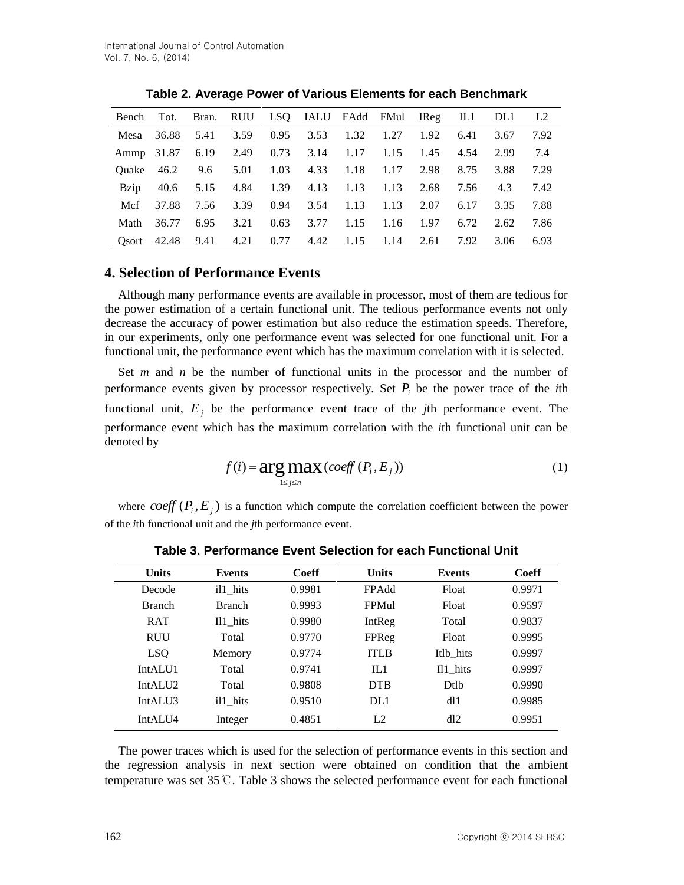|             |                 |           |                |      | Bench Tot. Bran. RUU LSQ IALU FAdd FMul IReg IL1 DL1 |      |      |      |      |      | L2   |
|-------------|-----------------|-----------|----------------|------|------------------------------------------------------|------|------|------|------|------|------|
|             | Mesa 36.88      | 5.41      | 3.59           | 0.95 | 3.53                                                 | 1.32 | 1.27 | 1.92 | 6.41 | 3.67 | 7.92 |
|             | Ammp 31.87 6.19 |           |                |      | 2.49 0.73 3.14 1.17                                  |      | 1.15 | 1.45 | 4.54 | 2.99 | 7.4  |
|             | Ouake 46.2      | 9.6       | 5.01           |      | 1.03 4.33 1.18                                       |      | 1.17 | 2.98 | 8.75 | 3.88 | 7.29 |
| <b>Bzip</b> |                 | 40.6 5.15 | 4.84 1.39 4.13 |      |                                                      | 1.13 | 1.13 | 2.68 | 7.56 | 4.3  | 7.42 |
| Mcf         | 37.88           | 7.56      | 3.39           |      | $0.94$ 3.54                                          | 1.13 | 1.13 | 2.07 | 6.17 | 3.35 | 7.88 |
| Math        | 36.77           | 6.95      | 3.21           | 0.63 | 3.77                                                 | 1.15 | 1.16 | 1.97 | 6.72 | 2.62 | 7.86 |
|             | Osort $42.48$   | 9.41      | 4.21           |      | 0.77 4.42                                            | 1.15 | 1.14 | 2.61 | 7.92 | 3.06 | 6.93 |

**Table 2. Average Power of Various Elements for each Benchmark**

# **4. Selection of Performance Events**

Although many performance events are available in processor, most of them are tedious for the power estimation of a certain functional unit. The tedious performance events not only decrease the accuracy of power estimation but also reduce the estimation speeds. Therefore, in our experiments, only one performance event was selected for one functional unit. For a functional unit, the performance event which has the maximum correlation with it is selected.

Set *m* and *n* be the number of functional units in the processor and the number of performance events given by processor respectively. Set  $P_i$  be the power trace of the *i*th functional unit,  $E_j$  be the performance event trace of the *j*th performance event. The performance event which has the maximum correlation with the *i*th functional unit can be denoted by

$$
f(i) = \underset{1 \le j \le n}{\arg \max} (\text{coeff}(P_i, E_j))
$$
 (1)

where  $\text{coeff}(P_i, E_j)$  is a function which compute the correlation coefficient between the power of the *i*th functional unit and the *j*th performance event.

| <b>Units</b>        | <b>Events</b> | <b>Coeff</b> | <b>Units</b> | <b>Events</b> | Coeff  |
|---------------------|---------------|--------------|--------------|---------------|--------|
| Decode              | il1 hits      | 0.9981       | FPAdd        | Float         | 0.9971 |
| <b>Branch</b>       | <b>Branch</b> | 0.9993       | FPMul        | Float         | 0.9597 |
| <b>RAT</b>          | Il1 hits      | 0.9980       | IntReg       | Total         | 0.9837 |
| <b>RUU</b>          | Total         | 0.9770       | FPReg        | Float         | 0.9995 |
| LSQ.                | Memory        | 0.9774       | <b>ITLB</b>  | Itlb hits     | 0.9997 |
| IntALU1             | Total         | 0.9741       | IL1          | Il1_hits      | 0.9997 |
| IntAIJI2            | Total         | 0.9808       | <b>DTB</b>   | Dtlb          | 0.9990 |
| IntALU <sub>3</sub> | il1 hits      | 0.9510       | DL1          | dl1           | 0.9985 |
| IntAIJI4            | Integer       | 0.4851       | L2           | dl2           | 0.9951 |

**Table 3. Performance Event Selection for each Functional Unit**

The power traces which is used for the selection of performance events in this section and the regression analysis in next section were obtained on condition that the ambient temperature was set 35℃. Table 3 shows the selected performance event for each functional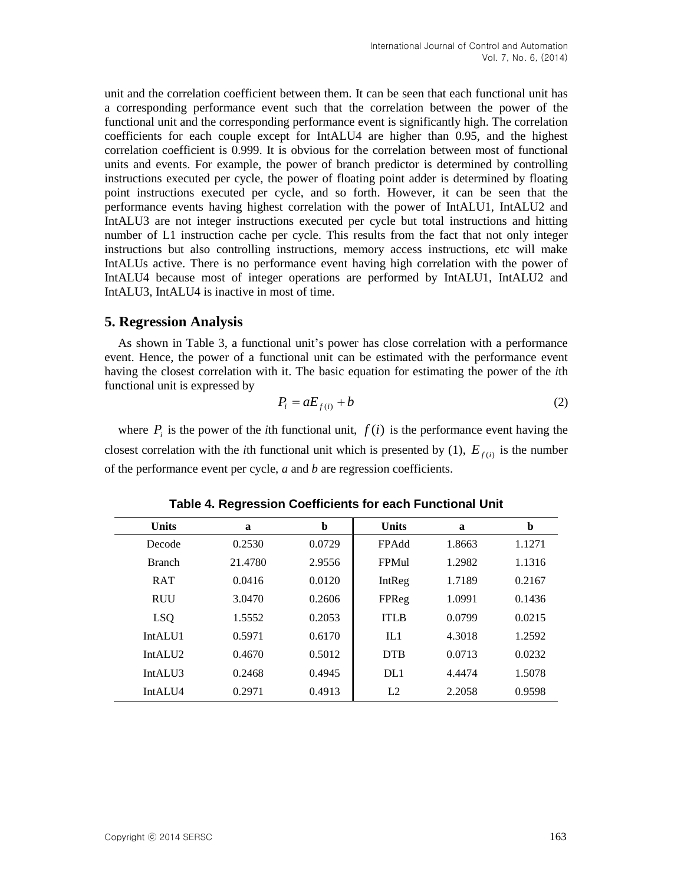unit and the correlation coefficient between them. It can be seen that each functional unit has a corresponding performance event such that the correlation between the power of the functional unit and the corresponding performance event is significantly high. The correlation coefficients for each couple except for IntALU4 are higher than 0.95, and the highest correlation coefficient is 0.999. It is obvious for the correlation between most of functional units and events. For example, the power of branch predictor is determined by controlling instructions executed per cycle, the power of floating point adder is determined by floating point instructions executed per cycle, and so forth. However, it can be seen that the performance events having highest correlation with the power of IntALU1, IntALU2 and IntALU3 are not integer instructions executed per cycle but total instructions and hitting number of L1 instruction cache per cycle. This results from the fact that not only integer instructions but also controlling instructions, memory access instructions, etc will make IntALUs active. There is no performance event having high correlation with the power of IntALU4 because most of integer operations are performed by IntALU1, IntALU2 and IntALU3, IntALU4 is inactive in most of time.

### **5. Regression Analysis**

As shown in Table 3, a functional unit's power has close correlation with a performance event. Hence, the power of a functional unit can be estimated with the performance event having the closest correlation with it. The basic equation for estimating the power of the *i*th functional unit is expressed by

$$
P_i = aE_{f(i)} + b \tag{2}
$$

where  $P_i$  is the power of the *i*th functional unit,  $f(i)$  is the performance event having the closest correlation with the *i*th functional unit which is presented by (1),  $E_{f(i)}$  is the number of the performance event per cycle, *a* and *b* are regression coefficients.

| <b>Units</b>        | a       | b      | <b>Units</b> | a      | b      |
|---------------------|---------|--------|--------------|--------|--------|
| Decode              | 0.2530  | 0.0729 | FPAdd        | 1.8663 | 1.1271 |
| <b>Branch</b>       | 21.4780 | 2.9556 | FPMul        | 1.2982 | 1.1316 |
| <b>RAT</b>          | 0.0416  | 0.0120 | IntReg       | 1.7189 | 0.2167 |
| <b>RUU</b>          | 3.0470  | 0.2606 | FPReg        | 1.0991 | 0.1436 |
| <b>LSQ</b>          | 1.5552  | 0.2053 | <b>ITLB</b>  | 0.0799 | 0.0215 |
| IntALU <sub>1</sub> | 0.5971  | 0.6170 | IL1          | 4.3018 | 1.2592 |
| IntAIJI2            | 0.4670  | 0.5012 | <b>DTB</b>   | 0.0713 | 0.0232 |
| IntALU <sub>3</sub> | 0.2468  | 0.4945 | DI.1         | 4.4474 | 1.5078 |
| IntALU4             | 0.2971  | 0.4913 | L2           | 2.2058 | 0.9598 |

**Table 4. Regression Coefficients for each Functional Unit**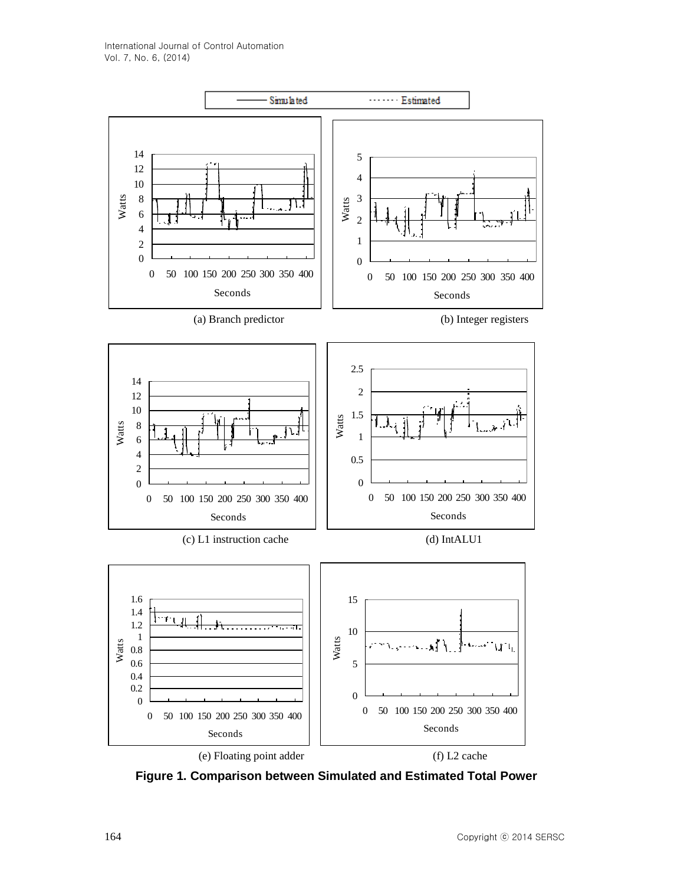

**Figure 1. Comparison between Simulated and Estimated Total Power**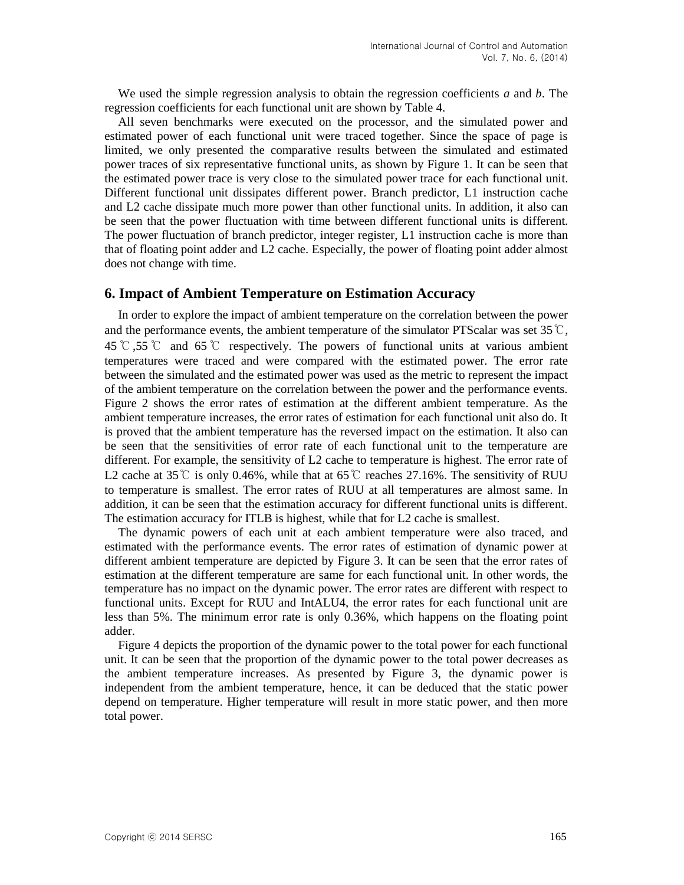We used the simple regression analysis to obtain the regression coefficients *a* and *b*. The regression coefficients for each functional unit are shown by Table 4.

All seven benchmarks were executed on the processor, and the simulated power and estimated power of each functional unit were traced together. Since the space of page is limited, we only presented the comparative results between the simulated and estimated power traces of six representative functional units, as shown by Figure 1. It can be seen that the estimated power trace is very close to the simulated power trace for each functional unit. Different functional unit dissipates different power. Branch predictor, L1 instruction cache and L2 cache dissipate much more power than other functional units. In addition, it also can be seen that the power fluctuation with time between different functional units is different. The power fluctuation of branch predictor, integer register, L1 instruction cache is more than that of floating point adder and  $\overline{L2}$  cache. Especially, the power of floating point adder almost does not change with time.

#### **6. Impact of Ambient Temperature on Estimation Accuracy**

In order to explore the impact of ambient temperature on the correlation between the power and the performance events, the ambient temperature of the simulator PTScalar was set 35  $\mathbb{C}$ , 45℃,55℃ and 65℃ respectively. The powers of functional units at various ambient temperatures were traced and were compared with the estimated power. The error rate between the simulated and the estimated power was used as the metric to represent the impact of the ambient temperature on the correlation between the power and the performance events. Figure 2 shows the error rates of estimation at the different ambient temperature. As the ambient temperature increases, the error rates of estimation for each functional unit also do. It is proved that the ambient temperature has the reversed impact on the estimation. It also can be seen that the sensitivities of error rate of each functional unit to the temperature are different. For example, the sensitivity of L2 cache to temperature is highest. The error rate of L2 cache at 35 ℃ is only 0.46%, while that at 65 ℃ reaches 27.16%. The sensitivity of RUU to temperature is smallest. The error rates of RUU at all temperatures are almost same. In addition, it can be seen that the estimation accuracy for different functional units is different. The estimation accuracy for ITLB is highest, while that for L2 cache is smallest.

The dynamic powers of each unit at each ambient temperature were also traced, and estimated with the performance events. The error rates of estimation of dynamic power at different ambient temperature are depicted by Figure 3. It can be seen that the error rates of estimation at the different temperature are same for each functional unit. In other words, the temperature has no impact on the dynamic power. The error rates are different with respect to functional units. Except for RUU and IntALU4, the error rates for each functional unit are less than 5%. The minimum error rate is only 0.36%, which happens on the floating point adder.

Figure 4 depicts the proportion of the dynamic power to the total power for each functional unit. It can be seen that the proportion of the dynamic power to the total power decreases as the ambient temperature increases. As presented by Figure 3, the dynamic power is independent from the ambient temperature, hence, it can be deduced that the static power depend on temperature. Higher temperature will result in more static power, and then more total power.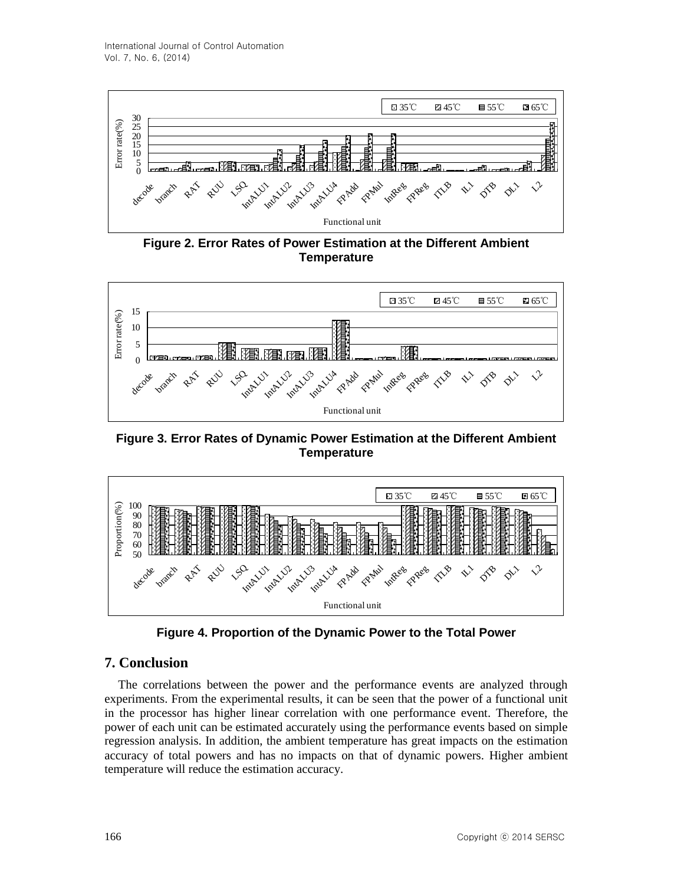

**Figure 2. Error Rates of Power Estimation at the Different Ambient Temperature**



**Figure 3. Error Rates of Dynamic Power Estimation at the Different Ambient Temperature**



**Figure 4. Proportion of the Dynamic Power to the Total Power**

# **7. Conclusion**

The correlations between the power and the performance events are analyzed through experiments. From the experimental results, it can be seen that the power of a functional unit in the processor has higher linear correlation with one performance event. Therefore, the power of each unit can be estimated accurately using the performance events based on simple regression analysis. In addition, the ambient temperature has great impacts on the estimation accuracy of total powers and has no impacts on that of dynamic powers. Higher ambient temperature will reduce the estimation accuracy.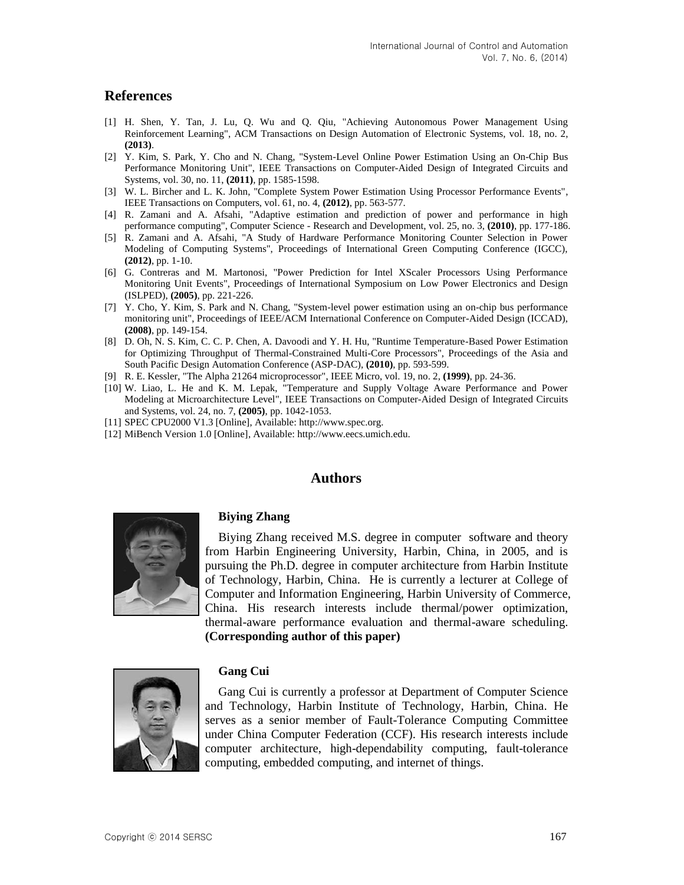### **References**

- [1] H. Shen, Y. Tan, J. Lu, Q. Wu and Q. Qiu, "Achieving Autonomous Power Management Using Reinforcement Learning", ACM Transactions on Design Automation of Electronic Systems, vol. 18, no. 2, **(2013)**.
- [2] Y. Kim, S. Park, Y. Cho and N. Chang, "System-Level Online Power Estimation Using an On-Chip Bus Performance Monitoring Unit", IEEE Transactions on Computer-Aided Design of Integrated Circuits and Systems, vol. 30, no. 11, **(2011)**, pp. 1585-1598.
- [3] W. L. Bircher and L. K. John, "Complete System Power Estimation Using Processor Performance Events", IEEE Transactions on Computers, vol. 61, no. 4, **(2012)**, pp. 563-577.
- [4] R. Zamani and A. Afsahi, "Adaptive estimation and prediction of power and performance in high performance computing", Computer Science - Research and Development, vol. 25, no. 3, **(2010)**, pp. 177-186.
- [5] R. Zamani and A. Afsahi, "A Study of Hardware Performance Monitoring Counter Selection in Power Modeling of Computing Systems", Proceedings of International Green Computing Conference (IGCC), **(2012)**, pp. 1-10.
- [6] G. Contreras and M. Martonosi, "Power Prediction for Intel XScaler Processors Using Performance Monitoring Unit Events", Proceedings of International Symposium on Low Power Electronics and Design (ISLPED), **(2005)**, pp. 221-226.
- [7] Y. Cho, Y. Kim, S. Park and N. Chang, "System-level power estimation using an on-chip bus performance monitoring unit", Proceedings of IEEE/ACM International Conference on Computer-Aided Design (ICCAD), **(2008)**, pp. 149-154.
- [8] D. Oh, N. S. Kim, C. C. P. Chen, A. Davoodi and Y. H. Hu, "Runtime Temperature-Based Power Estimation for Optimizing Throughput of Thermal-Constrained Multi-Core Processors", Proceedings of the Asia and South Pacific Design Automation Conference (ASP-DAC), **(2010)**, pp. 593-599.
- [9] R. E. Kessler, "The Alpha 21264 microprocessor", IEEE Micro, vol. 19, no. 2, **(1999)**, pp. 24-36.
- [10] W. Liao, L. He and K. M. Lepak, "Temperature and Supply Voltage Aware Performance and Power Modeling at Microarchitecture Level", IEEE Transactions on Computer-Aided Design of Integrated Circuits and Systems, vol. 24, no. 7, **(2005)**, pp. 1042-1053.
- [11] SPEC CPU2000 V1.3 [Online], Available: http://www.spec.org.
- [12] MiBench Version 1.0 [Online], Available: http://www.eecs.umich.edu.

**Biying Zhang**

#### **Authors**



Biying Zhang received M.S. degree in computer software and theory from Harbin Engineering University, Harbin, China, in 2005, and is pursuing the Ph.D. degree in computer architecture from Harbin Institute of Technology, Harbin, China. He is currently a lecturer at College of Computer and Information Engineering, Harbin University of Commerce, China. His research interests include thermal/power optimization, thermal-aware performance evaluation and thermal-aware scheduling. **(Corresponding author of this paper)**



#### **Gang Cui**

Gang Cui is currently a professor at Department of Computer Science and Technology, Harbin Institute of Technology, Harbin, China. He serves as a senior member of Fault-Tolerance Computing Committee under China Computer Federation (CCF). His research interests include computer architecture, high-dependability computing, fault-tolerance computing, embedded computing, and internet of things.